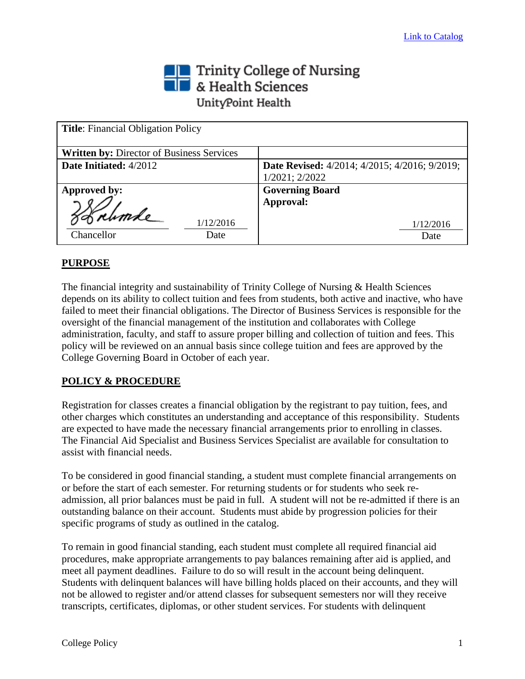# Trinity College of Nursing<br> **The State Sciences** UnityPoint Health

| <b>Title:</b> Financial Obligation Policy        |                                                                  |
|--------------------------------------------------|------------------------------------------------------------------|
| <b>Written by: Director of Business Services</b> |                                                                  |
| Date Initiated: 4/2012                           | <b>Date Revised:</b> $4/2014$ ; $4/2015$ ; $4/2016$ ; $9/2019$ ; |
|                                                  | 1/2021; 2/2022                                                   |
| Approved by:                                     | <b>Governing Board</b>                                           |
|                                                  | Approval:                                                        |
| 1/12/2016                                        | 1/12/2016                                                        |
| Chancellor<br>Date                               | Date                                                             |

# **PURPOSE**

The financial integrity and sustainability of Trinity College of Nursing & Health Sciences depends on its ability to collect tuition and fees from students, both active and inactive, who have failed to meet their financial obligations. The Director of Business Services is responsible for the oversight of the financial management of the institution and collaborates with College administration, faculty, and staff to assure proper billing and collection of tuition and fees. This policy will be reviewed on an annual basis since college tuition and fees are approved by the College Governing Board in October of each year.

# **POLICY & PROCEDURE**

Registration for classes creates a financial obligation by the registrant to pay tuition, fees, and other charges which constitutes an understanding and acceptance of this responsibility. Students are expected to have made the necessary financial arrangements prior to enrolling in classes. The Financial Aid Specialist and Business Services Specialist are available for consultation to assist with financial needs.

To be considered in good financial standing, a student must complete financial arrangements on or before the start of each semester. For returning students or for students who seek readmission, all prior balances must be paid in full. A student will not be re-admitted if there is an outstanding balance on their account. Students must abide by progression policies for their specific programs of study as outlined in the catalog.

To remain in good financial standing, each student must complete all required financial aid procedures, make appropriate arrangements to pay balances remaining after aid is applied, and meet all payment deadlines. Failure to do so will result in the account being delinquent. Students with delinquent balances will have billing holds placed on their accounts, and they will not be allowed to register and/or attend classes for subsequent semesters nor will they receive transcripts, certificates, diplomas, or other student services. For students with delinquent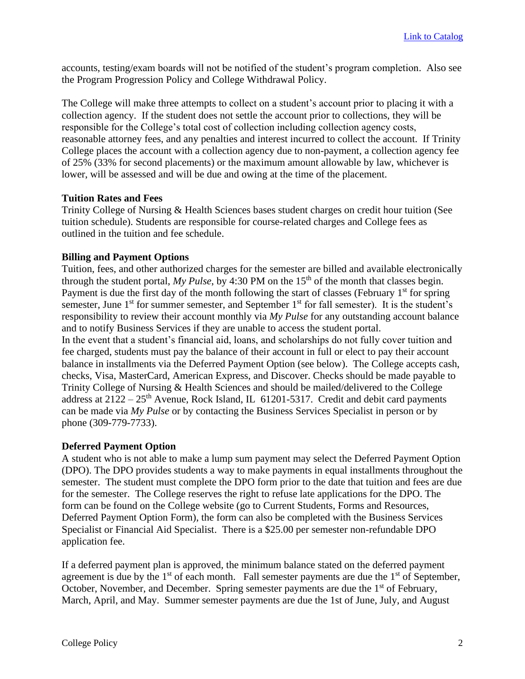accounts, testing/exam boards will not be notified of the student's program completion. Also see the Program Progression Policy and College Withdrawal Policy.

The College will make three attempts to collect on a student's account prior to placing it with a collection agency. If the student does not settle the account prior to collections, they will be responsible for the College's total cost of collection including collection agency costs, reasonable attorney fees, and any penalties and interest incurred to collect the account. If Trinity College places the account with a collection agency due to non-payment, a collection agency fee of 25% (33% for second placements) or the maximum amount allowable by law, whichever is lower, will be assessed and will be due and owing at the time of the placement.

#### **Tuition Rates and Fees**

Trinity College of Nursing & Health Sciences bases student charges on credit hour tuition (See tuition schedule). Students are responsible for course-related charges and College fees as outlined in the tuition and fee schedule.

## **Billing and Payment Options**

Tuition, fees, and other authorized charges for the semester are billed and available electronically through the student portal, *My Pulse*, by 4:30 PM on the 15<sup>th</sup> of the month that classes begin. Payment is due the first day of the month following the start of classes (February  $1<sup>st</sup>$  for spring semester, June  $1<sup>st</sup>$  for summer semester, and September  $1<sup>st</sup>$  for fall semester). It is the student's responsibility to review their account monthly via *My Pulse* for any outstanding account balance and to notify Business Services if they are unable to access the student portal.

In the event that a student's financial aid, loans, and scholarships do not fully cover tuition and fee charged, students must pay the balance of their account in full or elect to pay their account balance in installments via the Deferred Payment Option (see below). The College accepts cash, checks, Visa, MasterCard, American Express, and Discover. Checks should be made payable to Trinity College of Nursing & Health Sciences and should be mailed/delivered to the College address at  $2122 - 25$ <sup>th</sup> Avenue, Rock Island, IL 61201-5317. Credit and debit card payments can be made via *My Pulse* or by contacting the Business Services Specialist in person or by phone (309-779-7733).

#### **Deferred Payment Option**

A student who is not able to make a lump sum payment may select the Deferred Payment Option (DPO). The DPO provides students a way to make payments in equal installments throughout the semester. The student must complete the DPO form prior to the date that tuition and fees are due for the semester. The College reserves the right to refuse late applications for the DPO. The form can be found on the College website (go to Current Students, Forms and Resources, Deferred Payment Option Form), the form can also be completed with the Business Services Specialist or Financial Aid Specialist. There is a \$25.00 per semester non-refundable DPO application fee.

If a deferred payment plan is approved, the minimum balance stated on the deferred payment agreement is due by the  $1<sup>st</sup>$  of each month. Fall semester payments are due the  $1<sup>st</sup>$  of September, October, November, and December. Spring semester payments are due the  $1<sup>st</sup>$  of February, March, April, and May. Summer semester payments are due the 1st of June, July, and August